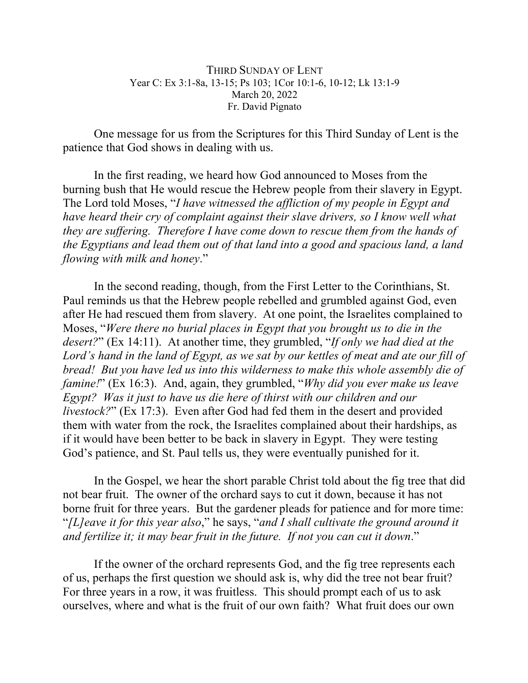THIRD SUNDAY OF LENT Year C: Ex 3:1-8a, 13-15; Ps 103; 1Cor 10:1-6, 10-12; Lk 13:1-9 March 20, 2022 Fr. David Pignato

One message for us from the Scriptures for this Third Sunday of Lent is the patience that God shows in dealing with us.

In the first reading, we heard how God announced to Moses from the burning bush that He would rescue the Hebrew people from their slavery in Egypt. The Lord told Moses, "*I have witnessed the affliction of my people in Egypt and have heard their cry of complaint against their slave drivers, so I know well what they are suffering. Therefore I have come down to rescue them from the hands of the Egyptians and lead them out of that land into a good and spacious land, a land flowing with milk and honey*."

In the second reading, though, from the First Letter to the Corinthians, St. Paul reminds us that the Hebrew people rebelled and grumbled against God, even after He had rescued them from slavery. At one point, the Israelites complained to Moses, "*Were there no burial places in Egypt that you brought us to die in the desert?*" (Ex 14:11). At another time, they grumbled, "*If only we had died at the Lord's hand in the land of Egypt, as we sat by our kettles of meat and ate our fill of bread! But you have led us into this wilderness to make this whole assembly die of famine!*" (Ex 16:3). And, again, they grumbled, "*Why did you ever make us leave Egypt? Was it just to have us die here of thirst with our children and our livestock?*" (Ex 17:3). Even after God had fed them in the desert and provided them with water from the rock, the Israelites complained about their hardships, as if it would have been better to be back in slavery in Egypt. They were testing God's patience, and St. Paul tells us, they were eventually punished for it.

In the Gospel, we hear the short parable Christ told about the fig tree that did not bear fruit. The owner of the orchard says to cut it down, because it has not borne fruit for three years. But the gardener pleads for patience and for more time: "*[L]eave it for this year also*," he says, "*and I shall cultivate the ground around it and fertilize it; it may bear fruit in the future. If not you can cut it down*."

If the owner of the orchard represents God, and the fig tree represents each of us, perhaps the first question we should ask is, why did the tree not bear fruit? For three years in a row, it was fruitless. This should prompt each of us to ask ourselves, where and what is the fruit of our own faith? What fruit does our own